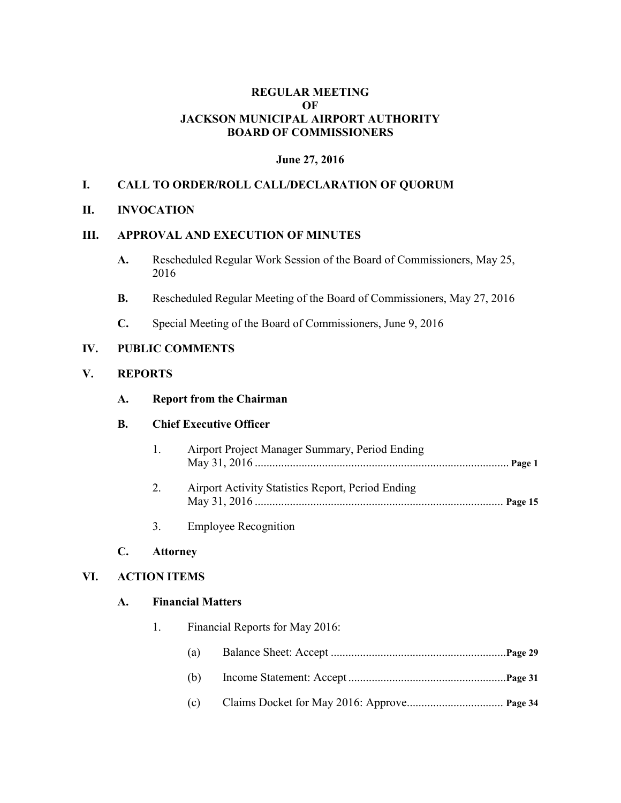### **REGULAR MEETING OF JACKSON MUNICIPAL AIRPORT AUTHORITY BOARD OF COMMISSIONERS**

### **June 27, 2016**

### **I. CALL TO ORDER/ROLL CALL/DECLARATION OF QUORUM**

### **II. INVOCATION**

## **III. APPROVAL AND EXECUTION OF MINUTES**

- **A.** Rescheduled Regular Work Session of the Board of Commissioners, May 25, 2016
- **B.** Rescheduled Regular Meeting of the Board of Commissioners, May 27, 2016
- **C.** Special Meeting of the Board of Commissioners, June 9, 2016

### **IV. PUBLIC COMMENTS**

### **V. REPORTS**

| A. | <b>Report from the Chairman</b> |  |
|----|---------------------------------|--|
|    |                                 |  |

### **B. Chief Executive Officer**

- 1. Airport Project Manager Summary, Period Ending May 31, 2016 ....................................................................................... **Page 1**
- 2. Airport Activity Statistics Report, Period Ending May 31, 2016 ..................................................................................... **Page 15**
- 3. Employee Recognition

#### **C. Attorney**

### **VI. ACTION ITEMS**

#### **A. Financial Matters**

- 1. Financial Reports for May 2016:
	- (a) Balance Sheet: Accept ............................................................**Page 29**
	- (b) Income Statement: Accept ......................................................**Page 31**
	- (c) Claims Docket for May 2016: Approve................................. **Page 34**